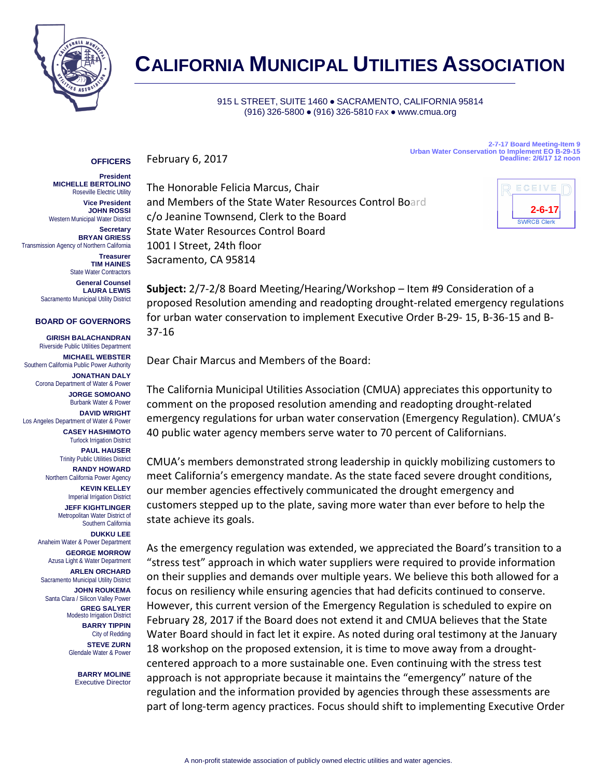

# **CALIFORNIA MUNICIPAL UTILITIES ASSOCIATION**

## 915 L STREET, SUITE 1460 · SACRAMENTO, CALIFORNIA 95814 (916) 326-5800 ● (916) 326-5810 FAX ● www.cmua.org

#### February 6, 2017 **OFFICERS**

**2-7-17 Board Meeting-Item 9 Urban Water Conservation to Implement EO B-29-15 Deadline: 2/6/17 12 noon**

# **President**

**MICHELLE BERTOLINO** Roseville Electric Utility **Vice President JOHN ROSSI** Western Municipal Water District

**Secretary BRYAN GRIESS** Transmission Agency of Northern California

**Treasurer TIM HAINES** State Water Contractors

**General Counsel LAURA LEWIS** Sacramento Municipal Utility District

### **BOARD OF GOVERNORS**

**GIRISH BALACHANDRAN**

Riverside Public Utilities Department **MICHAEL WEBSTER**

Southern California Public Power Authority **JONATHAN DALY**

Corona Department of Water & Power **JORGE SOMOANO** Burbank Water & Power

**DAVID WRIGHT** Los Angeles Department of Water & Power **CASEY HASHIMOTO**

> Turlock Irrigation District **PAUL HAUSER** Trinity Public Utilities District

**RANDY HOWARD** Northern California Power Agency

**KEVIN KELLEY Imperial Irrigation District JEFF KIGHTLINGER**

Metropolitan Water District of Southern California **DUKKU LEE**

Anaheim Water & Power Department **GEORGE MORROW** Azusa Light & Water Department

**ARLEN ORCHARD** Sacramento Municipal Utility District

**JOHN ROUKEMA** Santa Clara / Silicon Valley Power **GREG SALYER** Modesto Irrigation District **BARRY TIPPIN** City of Redding

> **STEVE ZURN** Glendale Water & Power

> > **BARRY MOLINE** Executive Director

The Honorable Felicia Marcus, Chair and Members of the State Water Resources Control Board c/o Jeanine Townsend, Clerk to the Board State Water Resources Control Board 1001 I Street, 24th floor Sacramento, CA 95814



**Subject:** 2/7-2/8 Board Meeting/Hearing/Workshop – Item #9 Consideration of a proposed Resolution amending and readopting drought-related emergency regulations for urban water conservation to implement Executive Order B-29- 15, B-36-15 and B-37-16

Dear Chair Marcus and Members of the Board:

The California Municipal Utilities Association (CMUA) appreciates this opportunity to comment on the proposed resolution amending and readopting drought-related emergency regulations for urban water conservation (Emergency Regulation). CMUA's 40 public water agency members serve water to 70 percent of Californians.

CMUA's members demonstrated strong leadership in quickly mobilizing customers to meet California's emergency mandate. As the state faced severe drought conditions, our member agencies effectively communicated the drought emergency and customers stepped up to the plate, saving more water than ever before to help the state achieve its goals.

As the emergency regulation was extended, we appreciated the Board's transition to a "stress test" approach in which water suppliers were required to provide information on their supplies and demands over multiple years. We believe this both allowed for a focus on resiliency while ensuring agencies that had deficits continued to conserve. However, this current version of the Emergency Regulation is scheduled to expire on February 28, 2017 if the Board does not extend it and CMUA believes that the State Water Board should in fact let it expire. As noted during oral testimony at the January 18 workshop on the proposed extension, it is time to move away from a droughtcentered approach to a more sustainable one. Even continuing with the stress test approach is not appropriate because it maintains the "emergency" nature of the regulation and the information provided by agencies through these assessments are part of long-term agency practices. Focus should shift to implementing Executive Order